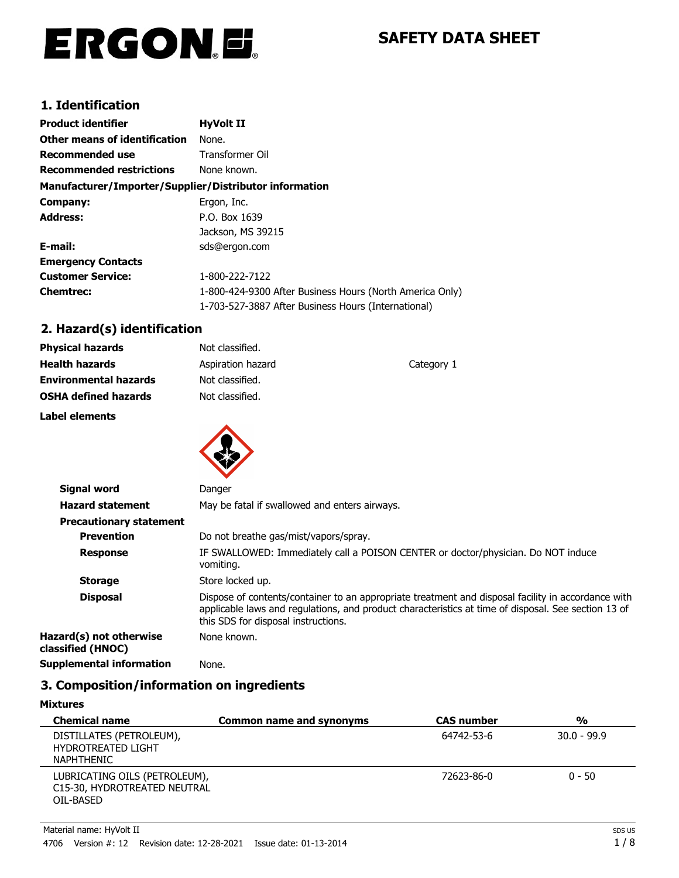# ERGON.E.

# **SAFETY DATA SHEET**

# **1. Identification**

| <b>Product identifier</b>                              | <b>HyVolt II</b>                                         |
|--------------------------------------------------------|----------------------------------------------------------|
| <b>Other means of identification</b>                   | None.                                                    |
| <b>Recommended use</b>                                 | Transformer Oil                                          |
| <b>Recommended restrictions</b>                        | None known.                                              |
| Manufacturer/Importer/Supplier/Distributor information |                                                          |
| Company:                                               | Ergon, Inc.                                              |
| <b>Address:</b>                                        | P.O. Box 1639                                            |
|                                                        | Jackson, MS 39215                                        |
| E-mail:                                                | sds@ergon.com                                            |
| <b>Emergency Contacts</b>                              |                                                          |
| <b>Customer Service:</b>                               | 1-800-222-7122                                           |
| <b>Chemtrec:</b>                                       | 1-800-424-9300 After Business Hours (North America Only) |
|                                                        | 1-703-527-3887 After Business Hours (International)      |

# **2. Hazard(s) identification**

| <b>Physical hazards</b>      | Not classified.   |            |
|------------------------------|-------------------|------------|
| <b>Health hazards</b>        | Aspiration hazard | Category 1 |
| <b>Environmental hazards</b> | Not classified.   |            |
| <b>OSHA defined hazards</b>  | Not classified.   |            |
| Label elements               |                   |            |
|                              |                   |            |



| <b>Signal word</b>                           | Danger                                                                                                                                                                                                                                           |
|----------------------------------------------|--------------------------------------------------------------------------------------------------------------------------------------------------------------------------------------------------------------------------------------------------|
| <b>Hazard statement</b>                      | May be fatal if swallowed and enters airways.                                                                                                                                                                                                    |
| <b>Precautionary statement</b>               |                                                                                                                                                                                                                                                  |
| <b>Prevention</b>                            | Do not breathe gas/mist/vapors/spray.                                                                                                                                                                                                            |
| <b>Response</b>                              | IF SWALLOWED: Immediately call a POISON CENTER or doctor/physician. Do NOT induce<br>vomiting.                                                                                                                                                   |
| <b>Storage</b>                               | Store locked up.                                                                                                                                                                                                                                 |
| <b>Disposal</b>                              | Dispose of contents/container to an appropriate treatment and disposal facility in accordance with<br>applicable laws and regulations, and product characteristics at time of disposal. See section 13 of<br>this SDS for disposal instructions. |
| Hazard(s) not otherwise<br>classified (HNOC) | None known.                                                                                                                                                                                                                                      |
| <b>Supplemental information</b>              | None.                                                                                                                                                                                                                                            |

# **3. Composition/information on ingredients**

**Mixtures**

| <b>Chemical name</b>                                                       | <b>Common name and synonyms</b> | <b>CAS number</b> | $\frac{0}{0}$ |
|----------------------------------------------------------------------------|---------------------------------|-------------------|---------------|
| DISTILLATES (PETROLEUM),<br><b>HYDROTREATED LIGHT</b><br><b>NAPHTHENIC</b> |                                 | 64742-53-6        | $30.0 - 99.9$ |
| LUBRICATING OILS (PETROLEUM),<br>C15-30, HYDROTREATED NEUTRAL<br>OIL-BASED |                                 | 72623-86-0        | $0 - 50$      |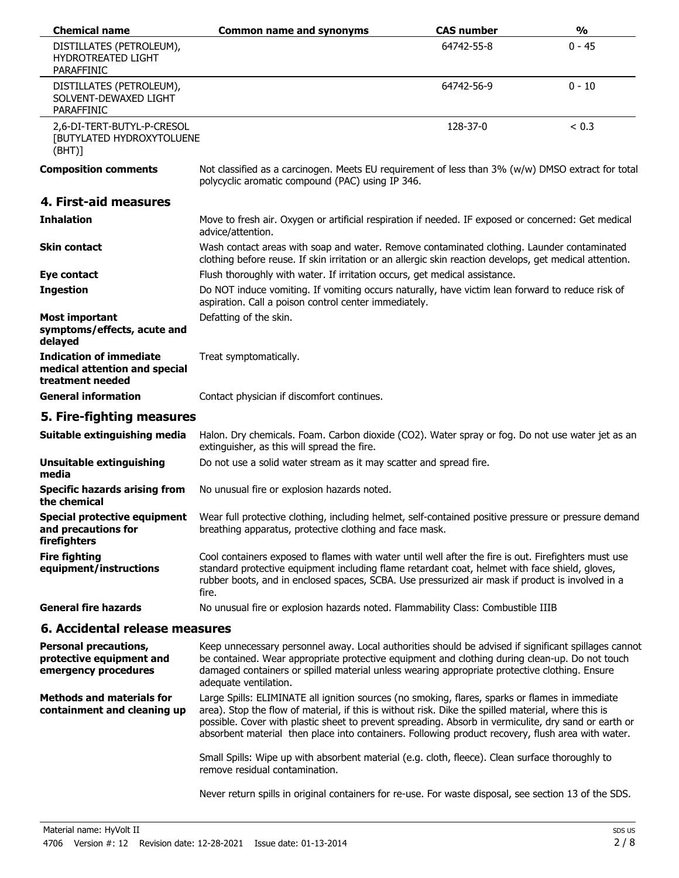| <b>Chemical name</b>                                                                | <b>Common name and synonyms</b>                                                                                                                                                                                                                                                                                                                                                                                     | <b>CAS number</b> | $\frac{0}{0}$ |
|-------------------------------------------------------------------------------------|---------------------------------------------------------------------------------------------------------------------------------------------------------------------------------------------------------------------------------------------------------------------------------------------------------------------------------------------------------------------------------------------------------------------|-------------------|---------------|
| DISTILLATES (PETROLEUM),<br><b>HYDROTREATED LIGHT</b><br><b>PARAFFINIC</b>          |                                                                                                                                                                                                                                                                                                                                                                                                                     | 64742-55-8        | $0 - 45$      |
| DISTILLATES (PETROLEUM),<br>SOLVENT-DEWAXED LIGHT<br><b>PARAFFINIC</b>              |                                                                                                                                                                                                                                                                                                                                                                                                                     | 64742-56-9        | $0 - 10$      |
| 2,6-DI-TERT-BUTYL-P-CRESOL<br>[BUTYLATED HYDROXYTOLUENE<br>(BHT)]                   |                                                                                                                                                                                                                                                                                                                                                                                                                     | 128-37-0          | < 0.3         |
| <b>Composition comments</b>                                                         | Not classified as a carcinogen. Meets EU requirement of less than 3% (w/w) DMSO extract for total<br>polycyclic aromatic compound (PAC) using IP 346.                                                                                                                                                                                                                                                               |                   |               |
| 4. First-aid measures                                                               |                                                                                                                                                                                                                                                                                                                                                                                                                     |                   |               |
| <b>Inhalation</b>                                                                   | Move to fresh air. Oxygen or artificial respiration if needed. IF exposed or concerned: Get medical<br>advice/attention.                                                                                                                                                                                                                                                                                            |                   |               |
| <b>Skin contact</b>                                                                 | Wash contact areas with soap and water. Remove contaminated clothing. Launder contaminated<br>clothing before reuse. If skin irritation or an allergic skin reaction develops, get medical attention.                                                                                                                                                                                                               |                   |               |
| Eye contact                                                                         | Flush thoroughly with water. If irritation occurs, get medical assistance.                                                                                                                                                                                                                                                                                                                                          |                   |               |
| <b>Ingestion</b>                                                                    | Do NOT induce vomiting. If vomiting occurs naturally, have victim lean forward to reduce risk of<br>aspiration. Call a poison control center immediately.                                                                                                                                                                                                                                                           |                   |               |
| <b>Most important</b><br>symptoms/effects, acute and<br>delayed                     | Defatting of the skin.                                                                                                                                                                                                                                                                                                                                                                                              |                   |               |
| <b>Indication of immediate</b><br>medical attention and special<br>treatment needed | Treat symptomatically.                                                                                                                                                                                                                                                                                                                                                                                              |                   |               |
| <b>General information</b>                                                          | Contact physician if discomfort continues.                                                                                                                                                                                                                                                                                                                                                                          |                   |               |
| 5. Fire-fighting measures                                                           |                                                                                                                                                                                                                                                                                                                                                                                                                     |                   |               |
| Suitable extinguishing media                                                        | Halon. Dry chemicals. Foam. Carbon dioxide (CO2). Water spray or fog. Do not use water jet as an<br>extinguisher, as this will spread the fire.                                                                                                                                                                                                                                                                     |                   |               |
| <b>Unsuitable extinguishing</b><br>media                                            | Do not use a solid water stream as it may scatter and spread fire.                                                                                                                                                                                                                                                                                                                                                  |                   |               |
| <b>Specific hazards arising from</b><br>the chemical                                | No unusual fire or explosion hazards noted.                                                                                                                                                                                                                                                                                                                                                                         |                   |               |
| Special protective equipment<br>and precautions for<br>firefighters                 | Wear full protective clothing, including helmet, self-contained positive pressure or pressure demand<br>breathing apparatus, protective clothing and face mask.                                                                                                                                                                                                                                                     |                   |               |
| <b>Fire fighting</b><br>equipment/instructions                                      | Cool containers exposed to flames with water until well after the fire is out. Firefighters must use<br>standard protective equipment including flame retardant coat, helmet with face shield, gloves,<br>rubber boots, and in enclosed spaces, SCBA. Use pressurized air mask if product is involved in a<br>fire.                                                                                                 |                   |               |
| <b>General fire hazards</b>                                                         | No unusual fire or explosion hazards noted. Flammability Class: Combustible IIIB                                                                                                                                                                                                                                                                                                                                    |                   |               |
| 6. Accidental release measures                                                      |                                                                                                                                                                                                                                                                                                                                                                                                                     |                   |               |
| <b>Personal precautions,</b><br>protective equipment and<br>emergency procedures    | Keep unnecessary personnel away. Local authorities should be advised if significant spillages cannot<br>be contained. Wear appropriate protective equipment and clothing during clean-up. Do not touch<br>damaged containers or spilled material unless wearing appropriate protective clothing. Ensure<br>adequate ventilation.                                                                                    |                   |               |
| <b>Methods and materials for</b><br>containment and cleaning up                     | Large Spills: ELIMINATE all ignition sources (no smoking, flares, sparks or flames in immediate<br>area). Stop the flow of material, if this is without risk. Dike the spilled material, where this is<br>possible. Cover with plastic sheet to prevent spreading. Absorb in vermiculite, dry sand or earth or<br>absorbent material then place into containers. Following product recovery, flush area with water. |                   |               |
|                                                                                     | Small Spills: Wipe up with absorbent material (e.g. cloth, fleece). Clean surface thoroughly to<br>remove residual contamination.                                                                                                                                                                                                                                                                                   |                   |               |
|                                                                                     | Never return spills in original containers for re-use. For waste disposal, see section 13 of the SDS.                                                                                                                                                                                                                                                                                                               |                   |               |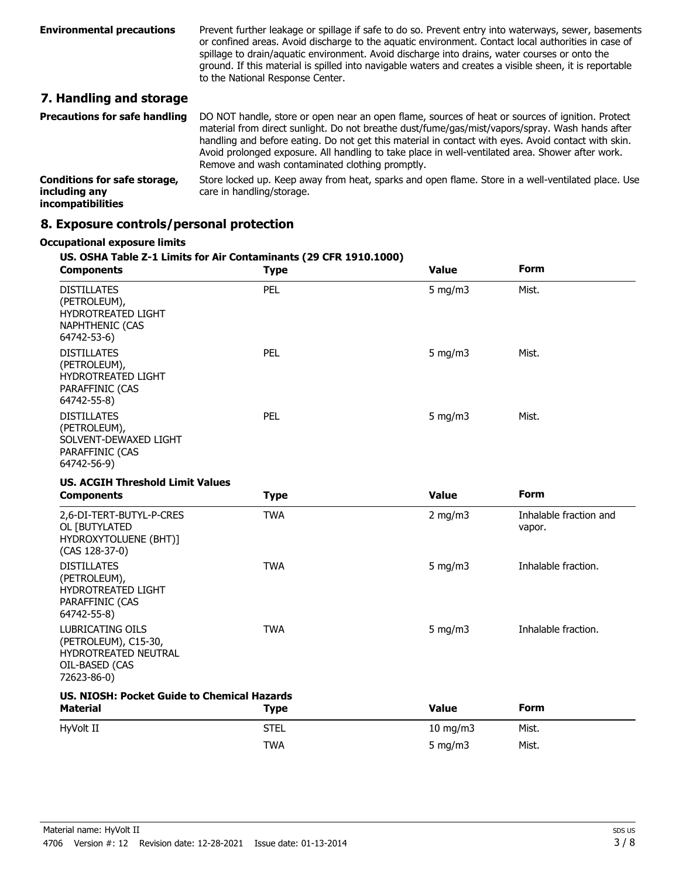| <b>Environmental precautions</b>                    | Prevent further leakage or spillage if safe to do so. Prevent entry into waterways, sewer, basements<br>or confined areas. Avoid discharge to the aquatic environment. Contact local authorities in case of<br>spillage to drain/aquatic environment. Avoid discharge into drains, water courses or onto the<br>ground. If this material is spilled into navigable waters and creates a visible sheen, it is reportable<br>to the National Response Center. |
|-----------------------------------------------------|-------------------------------------------------------------------------------------------------------------------------------------------------------------------------------------------------------------------------------------------------------------------------------------------------------------------------------------------------------------------------------------------------------------------------------------------------------------|
| the contract of the contract of the contract of the |                                                                                                                                                                                                                                                                                                                                                                                                                                                             |

# **7. Handling and storage**

| <b>Precautions for safe handling</b>                                      | DO NOT handle, store or open near an open flame, sources of heat or sources of ignition. Protect<br>material from direct sunlight. Do not breathe dust/fume/gas/mist/vapors/spray. Wash hands after<br>handling and before eating. Do not get this material in contact with eyes. Avoid contact with skin.<br>Avoid prolonged exposure. All handling to take place in well-ventilated area. Shower after work.<br>Remove and wash contaminated clothing promptly. |
|---------------------------------------------------------------------------|-------------------------------------------------------------------------------------------------------------------------------------------------------------------------------------------------------------------------------------------------------------------------------------------------------------------------------------------------------------------------------------------------------------------------------------------------------------------|
| <b>Conditions for safe storage,</b><br>including any<br>incompatibilities | Store locked up. Keep away from heat, sparks and open flame. Store in a well-ventilated place. Use<br>care in handling/storage.                                                                                                                                                                                                                                                                                                                                   |

# **8. Exposure controls/personal protection**

#### **Occupational exposure limits**

#### **US. OSHA Table Z-1 Limits for Air Contaminants (29 CFR 1910.1000)**

| <b>Components</b>                                                                                        | <b>Type</b> | <b>Value</b> | <b>Form</b>                      |
|----------------------------------------------------------------------------------------------------------|-------------|--------------|----------------------------------|
| <b>DISTILLATES</b><br>(PETROLEUM),<br>HYDROTREATED LIGHT<br><b>NAPHTHENIC (CAS</b><br>64742-53-6)        | PEL         | $5$ mg/m $3$ | Mist.                            |
| <b>DISTILLATES</b><br>(PETROLEUM),<br>HYDROTREATED LIGHT<br>PARAFFINIC (CAS<br>64742-55-8)               | PEL         | $5$ mg/m $3$ | Mist.                            |
| <b>DISTILLATES</b><br>(PETROLEUM),<br>SOLVENT-DEWAXED LIGHT<br>PARAFFINIC (CAS<br>64742-56-9)            | PEL         | $5$ mg/m $3$ | Mist.                            |
| <b>US. ACGIH Threshold Limit Values</b>                                                                  |             |              |                                  |
| <b>Components</b>                                                                                        | <b>Type</b> | <b>Value</b> | <b>Form</b>                      |
| 2,6-DI-TERT-BUTYL-P-CRES<br>OL [BUTYLATED<br>HYDROXYTOLUENE (BHT)]<br>(CAS 128-37-0)                     | <b>TWA</b>  | 2 mg/m $3$   | Inhalable fraction and<br>vapor. |
| <b>DISTILLATES</b><br>(PETROLEUM),<br>HYDROTREATED LIGHT<br>PARAFFINIC (CAS<br>64742-55-8)               | <b>TWA</b>  | $5$ mg/m $3$ | Inhalable fraction.              |
| <b>LUBRICATING OILS</b><br>(PETROLEUM), C15-30,<br>HYDROTREATED NEUTRAL<br>OIL-BASED (CAS<br>72623-86-0) | <b>TWA</b>  | 5 mg/m $3$   | Inhalable fraction.              |
| <b>US. NIOSH: Pocket Guide to Chemical Hazards</b>                                                       |             |              |                                  |
| <b>Material</b>                                                                                          | <b>Type</b> | <b>Value</b> | <b>Form</b>                      |
| HyVolt II                                                                                                | <b>STEL</b> | 10 mg/m3     | Mist.                            |
|                                                                                                          | <b>TWA</b>  | 5 mg/m3      | Mist.                            |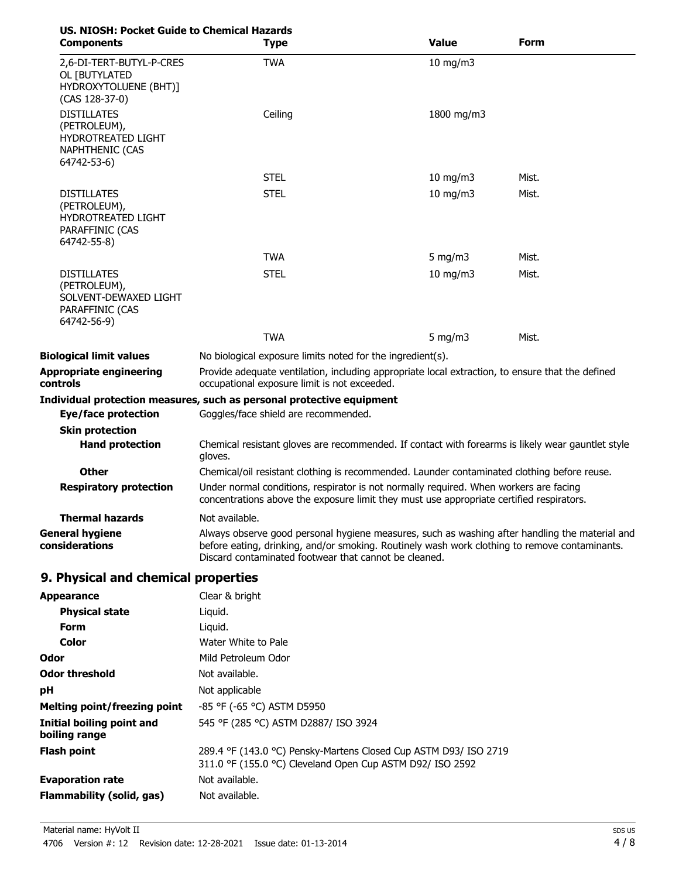| <b>US. NIOSH: Pocket Guide to Chemical Hazards</b><br><b>Components</b>                           | <b>Type</b>                                                                                                                                                                                                                                              | <b>Value</b>  | Form  |
|---------------------------------------------------------------------------------------------------|----------------------------------------------------------------------------------------------------------------------------------------------------------------------------------------------------------------------------------------------------------|---------------|-------|
| 2,6-DI-TERT-BUTYL-P-CRES<br>OL [BUTYLATED<br>HYDROXYTOLUENE (BHT)]<br>(CAS 128-37-0)              | <b>TWA</b>                                                                                                                                                                                                                                               | $10$ mg/m $3$ |       |
| <b>DISTILLATES</b><br>(PETROLEUM),<br>HYDROTREATED LIGHT<br><b>NAPHTHENIC (CAS</b><br>64742-53-6) | Ceiling                                                                                                                                                                                                                                                  | 1800 mg/m3    |       |
|                                                                                                   | <b>STEL</b>                                                                                                                                                                                                                                              | 10 mg/m $3$   | Mist. |
| <b>DISTILLATES</b><br>(PETROLEUM),<br>HYDROTREATED LIGHT<br>PARAFFINIC (CAS<br>64742-55-8)        | <b>STEL</b>                                                                                                                                                                                                                                              | $10$ mg/m $3$ | Mist. |
|                                                                                                   | <b>TWA</b>                                                                                                                                                                                                                                               | 5 mg/m $3$    | Mist. |
| <b>DISTILLATES</b><br>(PETROLEUM),<br>SOLVENT-DEWAXED LIGHT<br>PARAFFINIC (CAS<br>64742-56-9)     | <b>STEL</b>                                                                                                                                                                                                                                              | $10$ mg/m $3$ | Mist. |
|                                                                                                   | <b>TWA</b>                                                                                                                                                                                                                                               | 5 mg/m $3$    | Mist. |
| <b>Biological limit values</b>                                                                    | No biological exposure limits noted for the ingredient(s).                                                                                                                                                                                               |               |       |
| <b>Appropriate engineering</b><br>controls                                                        | Provide adequate ventilation, including appropriate local extraction, to ensure that the defined<br>occupational exposure limit is not exceeded.                                                                                                         |               |       |
| <b>Eye/face protection</b>                                                                        | Individual protection measures, such as personal protective equipment<br>Goggles/face shield are recommended.                                                                                                                                            |               |       |
| <b>Skin protection</b>                                                                            |                                                                                                                                                                                                                                                          |               |       |
| <b>Hand protection</b>                                                                            | Chemical resistant gloves are recommended. If contact with forearms is likely wear gauntlet style<br>gloves.                                                                                                                                             |               |       |
| <b>Other</b>                                                                                      | Chemical/oil resistant clothing is recommended. Launder contaminated clothing before reuse.                                                                                                                                                              |               |       |
| <b>Respiratory protection</b>                                                                     | Under normal conditions, respirator is not normally required. When workers are facing<br>concentrations above the exposure limit they must use appropriate certified respirators.                                                                        |               |       |
| Thermal hazards                                                                                   | Not available.                                                                                                                                                                                                                                           |               |       |
| <b>General hygiene</b><br>considerations                                                          | Always observe good personal hygiene measures, such as washing after handling the material and<br>before eating, drinking, and/or smoking. Routinely wash work clothing to remove contaminants.<br>Discard contaminated footwear that cannot be cleaned. |               |       |
| 9. Physical and chemical properties                                                               |                                                                                                                                                                                                                                                          |               |       |
| <b>Appearance</b>                                                                                 | Clear & bright                                                                                                                                                                                                                                           |               |       |
| <b>Physical state</b>                                                                             | Liquid.                                                                                                                                                                                                                                                  |               |       |
| <b>Form</b>                                                                                       | Liquid.                                                                                                                                                                                                                                                  |               |       |
| Color                                                                                             | Water White to Pale                                                                                                                                                                                                                                      |               |       |
| Odor                                                                                              | Mild Petroleum Odor                                                                                                                                                                                                                                      |               |       |
| <b>Odor threshold</b>                                                                             | Not available.                                                                                                                                                                                                                                           |               |       |
| рH                                                                                                | Not applicable                                                                                                                                                                                                                                           |               |       |
| <b>Melting point/freezing point</b>                                                               | -85 °F (-65 °C) ASTM D5950                                                                                                                                                                                                                               |               |       |
| <b>Initial boiling point and</b><br>boiling range                                                 | 545 °F (285 °C) ASTM D2887/ ISO 3924                                                                                                                                                                                                                     |               |       |
| <b>Flash point</b>                                                                                | 289.4 °F (143.0 °C) Pensky-Martens Closed Cup ASTM D93/ ISO 2719<br>311.0 °F (155.0 °C) Cleveland Open Cup ASTM D92/ ISO 2592                                                                                                                            |               |       |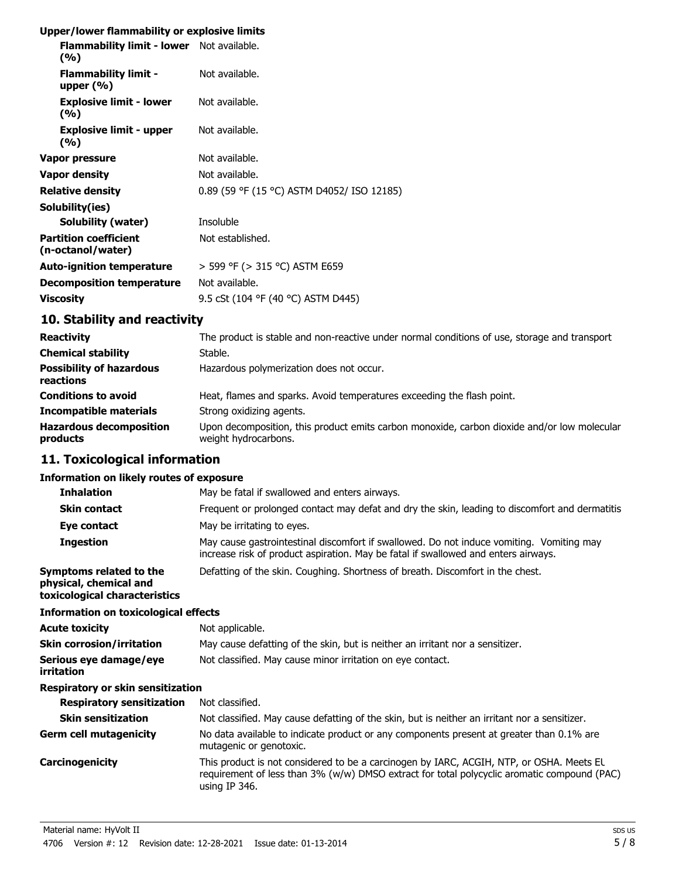# **Upper/lower flammability or explosive limits**

| Flammability limit - lower Not available.<br>(%)  |                                            |
|---------------------------------------------------|--------------------------------------------|
| <b>Flammability limit -</b><br>upper $(\% )$      | Not available.                             |
| <b>Explosive limit - lower</b><br>(%)             | Not available.                             |
| <b>Explosive limit - upper</b><br>(%)             | Not available.                             |
| Vapor pressure                                    | Not available.                             |
| <b>Vapor density</b>                              | Not available.                             |
| <b>Relative density</b>                           | 0.89 (59 °F (15 °C) ASTM D4052/ ISO 12185) |
| Solubility(ies)                                   |                                            |
| Solubility (water)                                | Insoluble                                  |
| <b>Partition coefficient</b><br>(n-octanol/water) | Not established.                           |
| <b>Auto-ignition temperature</b>                  | > 599 °F (> 315 °C) ASTM E659              |
| <b>Decomposition temperature</b>                  | Not available.                             |
| <b>Viscosity</b>                                  | 9.5 cSt (104 °F (40 °C) ASTM D445)         |

# **10. Stability and reactivity**

| <b>Reactivity</b>                            | The product is stable and non-reactive under normal conditions of use, storage and transport                        |
|----------------------------------------------|---------------------------------------------------------------------------------------------------------------------|
| <b>Chemical stability</b>                    | Stable.                                                                                                             |
| <b>Possibility of hazardous</b><br>reactions | Hazardous polymerization does not occur.                                                                            |
| <b>Conditions to avoid</b>                   | Heat, flames and sparks. Avoid temperatures exceeding the flash point.                                              |
| <b>Incompatible materials</b>                | Strong oxidizing agents.                                                                                            |
| <b>Hazardous decomposition</b><br>products   | Upon decomposition, this product emits carbon monoxide, carbon dioxide and/or low molecular<br>weight hydrocarbons. |

# **11. Toxicological information**

#### **Information on likely routes of exposure**

| <b>Inhalation</b>                                                                  | May be fatal if swallowed and enters airways.                                                                                                                                                               |
|------------------------------------------------------------------------------------|-------------------------------------------------------------------------------------------------------------------------------------------------------------------------------------------------------------|
| <b>Skin contact</b>                                                                | Frequent or prolonged contact may defat and dry the skin, leading to discomfort and dermatitis                                                                                                              |
| Eye contact                                                                        | May be irritating to eyes.                                                                                                                                                                                  |
| <b>Ingestion</b>                                                                   | May cause gastrointestinal discomfort if swallowed. Do not induce vomiting. Vomiting may<br>increase risk of product aspiration. May be fatal if swallowed and enters airways.                              |
| Symptoms related to the<br>physical, chemical and<br>toxicological characteristics | Defatting of the skin. Coughing. Shortness of breath. Discomfort in the chest.                                                                                                                              |
| <b>Information on toxicological effects</b>                                        |                                                                                                                                                                                                             |
| Acute toxicity                                                                     | Not applicable.                                                                                                                                                                                             |
| Skin corrosion/irritation                                                          | May cause defatting of the skin, but is neither an irritant nor a sensitizer.                                                                                                                               |
| Serious eye damage/eye<br>irritation                                               | Not classified. May cause minor irritation on eye contact.                                                                                                                                                  |
| Respiratory or skin sensitization                                                  |                                                                                                                                                                                                             |
| <b>Respiratory sensitization</b>                                                   | Not classified.                                                                                                                                                                                             |
| <b>Skin sensitization</b>                                                          | Not classified. May cause defatting of the skin, but is neither an irritant nor a sensitizer.                                                                                                               |
| Germ cell mutagenicity                                                             | No data available to indicate product or any components present at greater than 0.1% are<br>mutagenic or genotoxic.                                                                                         |
| Carcinogenicity                                                                    | This product is not considered to be a carcinogen by IARC, ACGIH, NTP, or OSHA. Meets EL<br>requirement of less than 3% (w/w) DMSO extract for total polycyclic aromatic compound (PAC)<br>using IP $346$ . |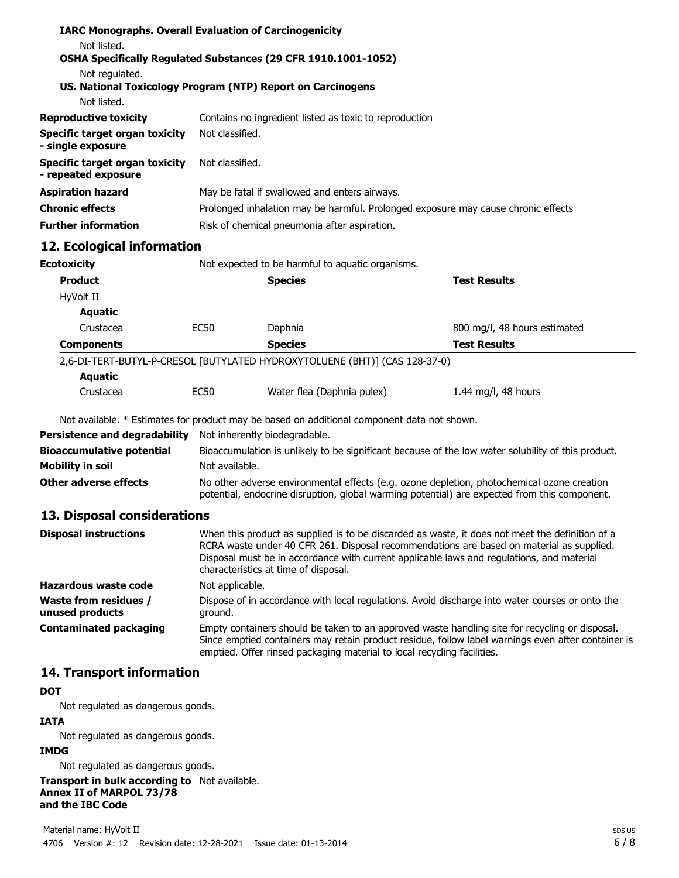| Not listed.                                           | <b>IARC Monographs. Overall Evaluation of Carcinogenicity</b>                     |
|-------------------------------------------------------|-----------------------------------------------------------------------------------|
| Not regulated.                                        | <b>OSHA Specifically Regulated Substances (29 CFR 1910.1001-1052)</b>             |
| Not listed.                                           | US. National Toxicology Program (NTP) Report on Carcinogens                       |
| <b>Reproductive toxicity</b>                          | Contains no ingredient listed as toxic to reproduction                            |
| Specific target organ toxicity<br>- single exposure   | Not classified.                                                                   |
| Specific target organ toxicity<br>- repeated exposure | Not classified.                                                                   |
| <b>Aspiration hazard</b>                              | May be fatal if swallowed and enters airways.                                     |
| <b>Chronic effects</b>                                | Prolonged inhalation may be harmful. Prolonged exposure may cause chronic effects |
| <b>Further information</b>                            | Risk of chemical pneumonia after aspiration.                                      |

# **12. Ecological information**

| <b>Ecotoxicity</b> | Not expected to be harmful to aquatic organisms. |                                                                            |                              |
|--------------------|--------------------------------------------------|----------------------------------------------------------------------------|------------------------------|
| <b>Product</b>     |                                                  | <b>Species</b>                                                             | <b>Test Results</b>          |
| HyVolt II          |                                                  |                                                                            |                              |
| <b>Aquatic</b>     |                                                  |                                                                            |                              |
| Crustacea          | <b>EC50</b>                                      | Daphnia                                                                    | 800 mg/l, 48 hours estimated |
| <b>Components</b>  |                                                  | <b>Species</b>                                                             | <b>Test Results</b>          |
|                    |                                                  | 2,6-DI-TERT-BUTYL-P-CRESOL [BUTYLATED HYDROXYTOLUENE (BHT)] (CAS 128-37-0) |                              |
| <b>Aquatic</b>     |                                                  |                                                                            |                              |
| Crustacea          | EC50                                             | Water flea (Daphnia pulex)                                                 | 1.44 mg/l, 48 hours          |

Not available. \* Estimates for product may be based on additional component data not shown.

| Persistence and degradability    | Not inherently biodegradable.                                                                                                                                                              |
|----------------------------------|--------------------------------------------------------------------------------------------------------------------------------------------------------------------------------------------|
| <b>Bioaccumulative potential</b> | Bioaccumulation is unlikely to be significant because of the low water solubility of this product.                                                                                         |
| Mobility in soil                 | Not available.                                                                                                                                                                             |
| <b>Other adverse effects</b>     | No other adverse environmental effects (e.g. ozone depletion, photochemical ozone creation<br>potential, endocrine disruption, global warming potential) are expected from this component. |

# **13. Disposal considerations**

| <b>Disposal instructions</b>                    | When this product as supplied is to be discarded as waste, it does not meet the definition of a<br>RCRA waste under 40 CFR 261. Disposal recommendations are based on material as supplied.<br>Disposal must be in accordance with current applicable laws and regulations, and material<br>characteristics at time of disposal. |
|-------------------------------------------------|----------------------------------------------------------------------------------------------------------------------------------------------------------------------------------------------------------------------------------------------------------------------------------------------------------------------------------|
| Hazardous waste code                            | Not applicable.                                                                                                                                                                                                                                                                                                                  |
| <b>Waste from residues /</b><br>unused products | Dispose of in accordance with local regulations. Avoid discharge into water courses or onto the<br>around.                                                                                                                                                                                                                       |
| <b>Contaminated packaging</b>                   | Empty containers should be taken to an approved waste handling site for recycling or disposal.<br>Since emptied containers may retain product residue, follow label warnings even after container is<br>emptied. Offer rinsed packaging material to local recycling facilities.                                                  |

# **14. Transport information**

# **DOT**

Not regulated as dangerous goods.

### **IATA**

Not regulated as dangerous goods.

# **IMDG**

Not regulated as dangerous goods.

**Transport in bulk according to** Not available. **Annex II of MARPOL 73/78 and the IBC Code**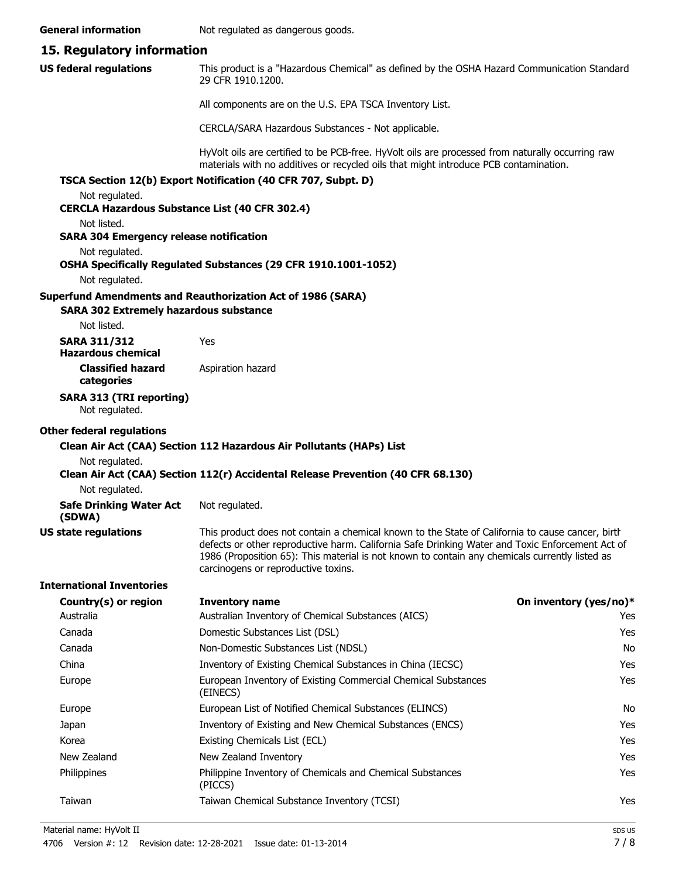**General information** Not regulated as dangerous goods.

#### **15. Regulatory information**

This product is a "Hazardous Chemical" as defined by the OSHA Hazard Communication Standard, 29 CFR 1910.1200. **US federal regulations**

All components are on the U.S. EPA TSCA Inventory List.

CERCLA/SARA Hazardous Substances - Not applicable.

HyVolt oils are certified to be PCB-free. HyVolt oils are processed from naturally occurring raw materials with no additives or recycled oils that might introduce PCB contamination.

#### **TSCA Section 12(b) Export Notification (40 CFR 707, Subpt. D)**

Not regulated.

# **CERCLA Hazardous Substance List (40 CFR 302.4)**

Not listed.

#### **SARA 304 Emergency release notification**

Not regulated.

#### **OSHA Specifically Regulated Substances (29 CFR 1910.1001-1052)**

Not regulated.

#### **Superfund Amendments and Reauthorization Act of 1986 (SARA)**

#### **SARA 302 Extremely hazardous substance**

Not listed.

| SARA 311/312       | Yes |
|--------------------|-----|
| Hazardous chemical |     |

**Classified hazard** Aspiration hazard **categories**

#### **SARA 313 (TRI reporting)**

Not regulated.

#### **Other federal regulations**

#### **Clean Air Act (CAA) Section 112 Hazardous Air Pollutants (HAPs) List**

Not regulated.

**Clean Air Act (CAA) Section 112(r) Accidental Release Prevention (40 CFR 68.130)**

Not regulated.

| <b>Safe Drinking Water Act</b> | Not regulated. |
|--------------------------------|----------------|
| (SDWA)                         |                |

**US state regulations**

This product does not contain a chemical known to the State of California to cause cancer, birth defects or other reproductive harm. California Safe Drinking Water and Toxic Enforcement Act of 1986 (Proposition 65): This material is not known to contain any chemicals currently listed as carcinogens or reproductive toxins.

#### **International Inventories**

| Country(s) or region | <b>Inventory name</b>                                                     | On inventory (yes/no)* |
|----------------------|---------------------------------------------------------------------------|------------------------|
| Australia            | Australian Inventory of Chemical Substances (AICS)                        | Yes                    |
| Canada               | Domestic Substances List (DSL)                                            | Yes                    |
| Canada               | Non-Domestic Substances List (NDSL)                                       | No                     |
| China                | Inventory of Existing Chemical Substances in China (IECSC)                | Yes                    |
| Europe               | European Inventory of Existing Commercial Chemical Substances<br>(EINECS) | Yes                    |
| Europe               | European List of Notified Chemical Substances (ELINCS)                    | No                     |
| Japan                | Inventory of Existing and New Chemical Substances (ENCS)                  | Yes                    |
| Korea                | Existing Chemicals List (ECL)                                             | Yes                    |
| New Zealand          | New Zealand Inventory                                                     | Yes                    |
| <b>Philippines</b>   | Philippine Inventory of Chemicals and Chemical Substances<br>(PICCS)      | Yes                    |
| Taiwan               | Taiwan Chemical Substance Inventory (TCSI)                                | Yes                    |